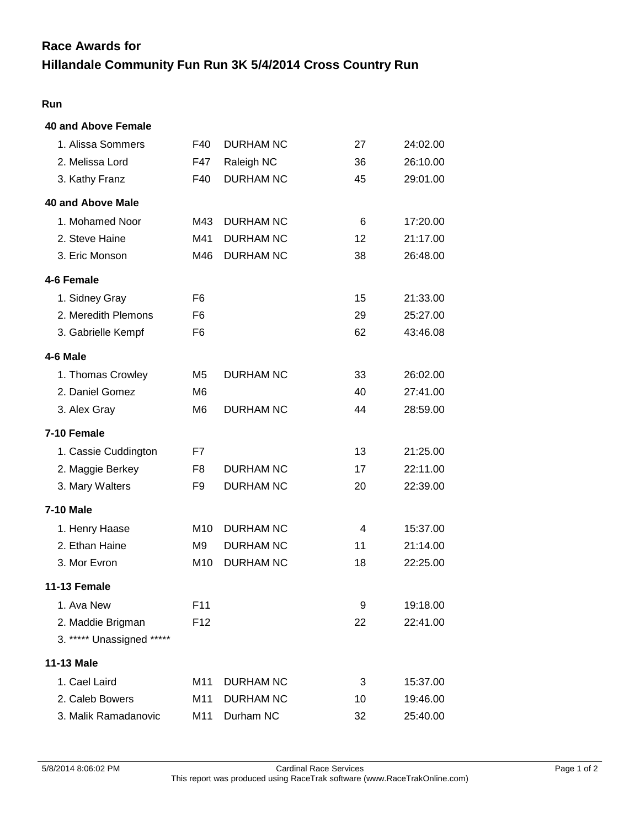# **Race Awards for**

## **Hillandale Community Fun Run 3K 5/4/2014 Cross Country Run**

### **Run**

| <b>40 and Above Female</b> |                 |                  |    |          |
|----------------------------|-----------------|------------------|----|----------|
| 1. Alissa Sommers          | F40             | <b>DURHAM NC</b> | 27 | 24:02.00 |
| 2. Melissa Lord            | F47             | Raleigh NC       | 36 | 26:10.00 |
| 3. Kathy Franz             | F40             | <b>DURHAM NC</b> | 45 | 29:01.00 |
| 40 and Above Male          |                 |                  |    |          |
| 1. Mohamed Noor            | M43             | <b>DURHAM NC</b> | 6  | 17:20.00 |
| 2. Steve Haine             | M41             | <b>DURHAM NC</b> | 12 | 21:17.00 |
| 3. Eric Monson             | M46             | <b>DURHAM NC</b> | 38 | 26:48.00 |
| 4-6 Female                 |                 |                  |    |          |
| 1. Sidney Gray             | F <sub>6</sub>  |                  | 15 | 21:33.00 |
| 2. Meredith Plemons        | F <sub>6</sub>  |                  | 29 | 25:27.00 |
| 3. Gabrielle Kempf         | F6              |                  | 62 | 43:46.08 |
| 4-6 Male                   |                 |                  |    |          |
| 1. Thomas Crowley          | M <sub>5</sub>  | <b>DURHAM NC</b> | 33 | 26:02.00 |
| 2. Daniel Gomez            | M <sub>6</sub>  |                  | 40 | 27:41.00 |
| 3. Alex Gray               | M <sub>6</sub>  | <b>DURHAM NC</b> | 44 | 28:59.00 |
| 7-10 Female                |                 |                  |    |          |
| 1. Cassie Cuddington       | F7              |                  | 13 | 21:25.00 |
| 2. Maggie Berkey           | F8              | <b>DURHAM NC</b> | 17 | 22:11.00 |
| 3. Mary Walters            | F <sub>9</sub>  | <b>DURHAM NC</b> | 20 | 22:39.00 |
| <b>7-10 Male</b>           |                 |                  |    |          |
| 1. Henry Haase             | M <sub>10</sub> | <b>DURHAM NC</b> | 4  | 15:37.00 |
| 2. Ethan Haine             | M <sub>9</sub>  | <b>DURHAM NC</b> | 11 | 21:14.00 |
| 3. Mor Evron               | M <sub>10</sub> | <b>DURHAM NC</b> | 18 | 22:25.00 |
| 11-13 Female               |                 |                  |    |          |
| 1. Ava New                 | F <sub>11</sub> |                  | 9  | 19:18.00 |
| 2. Maddie Brigman          | F <sub>12</sub> |                  | 22 | 22:41.00 |
| 3. ***** Unassigned *****  |                 |                  |    |          |
| 11-13 Male                 |                 |                  |    |          |
| 1. Cael Laird              | M <sub>11</sub> | <b>DURHAM NC</b> | 3  | 15:37.00 |
| 2. Caleb Bowers            | M11             | <b>DURHAM NC</b> | 10 | 19:46.00 |
| 3. Malik Ramadanovic       | M11             | Durham NC        | 32 | 25:40.00 |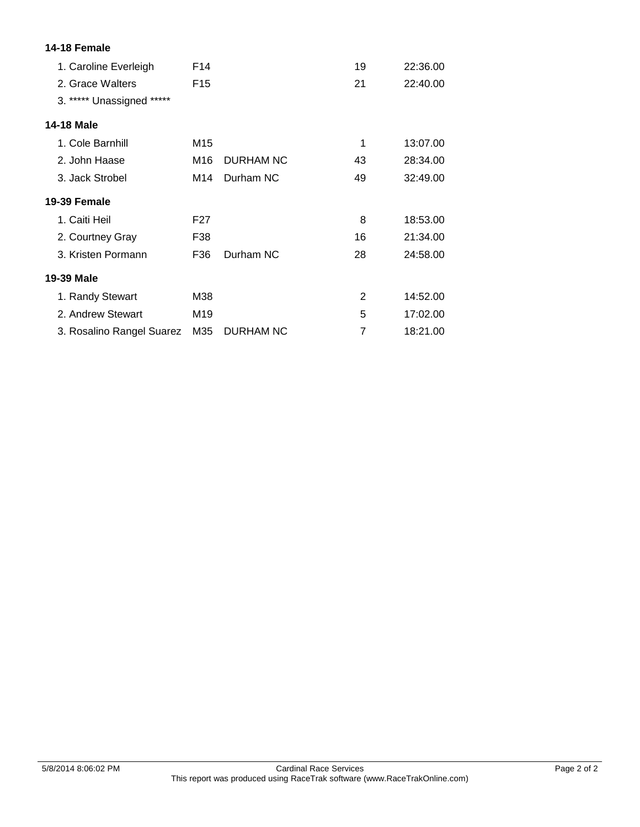| 14-18 Female              |                 |                  |    |          |
|---------------------------|-----------------|------------------|----|----------|
| 1. Caroline Everleigh     | F <sub>14</sub> |                  | 19 | 22:36.00 |
| 2. Grace Walters          | F <sub>15</sub> |                  | 21 | 22:40.00 |
| 3. ***** Unassigned ***** |                 |                  |    |          |
| <b>14-18 Male</b>         |                 |                  |    |          |
| 1. Cole Barnhill          | M15             |                  | 1  | 13:07.00 |
| 2. John Haase             | M16             | <b>DURHAM NC</b> | 43 | 28:34.00 |
| 3. Jack Strobel           | M14             | Durham NC        | 49 | 32:49.00 |
| 19-39 Female              |                 |                  |    |          |
| 1. Caiti Heil             | F <sub>27</sub> |                  | 8  | 18:53.00 |
| 2. Courtney Gray          | F38             |                  | 16 | 21:34.00 |
| 3. Kristen Pormann        | F36             | Durham NC        | 28 | 24:58.00 |
| 19-39 Male                |                 |                  |    |          |
| 1. Randy Stewart          | M38             |                  | 2  | 14:52.00 |
| 2. Andrew Stewart         | M19             |                  | 5  | 17:02.00 |
| 3. Rosalino Rangel Suarez | M35             | DURHAM NC        | 7  | 18:21.00 |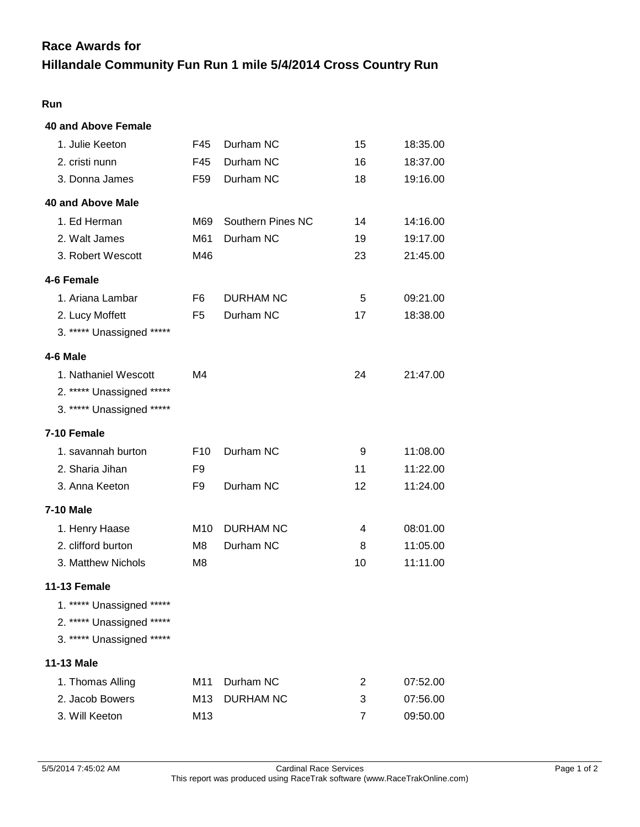### **Race Awards for**

## **Hillandale Community Fun Run 1 mile 5/4/2014 Cross Country Run**

### **Run**

| <b>40 and Above Female</b> |                 |                   |                |          |
|----------------------------|-----------------|-------------------|----------------|----------|
| 1. Julie Keeton            | F45             | Durham NC         | 15             | 18:35.00 |
| 2. cristi nunn             | F45             | Durham NC         | 16             | 18:37.00 |
| 3. Donna James             | F <sub>59</sub> | Durham NC         | 18             | 19:16.00 |
| <b>40 and Above Male</b>   |                 |                   |                |          |
| 1. Ed Herman               | M69             | Southern Pines NC | 14             | 14:16.00 |
| 2. Walt James              | M61             | Durham NC         | 19             | 19:17.00 |
| 3. Robert Wescott          | M46             |                   | 23             | 21:45.00 |
| 4-6 Female                 |                 |                   |                |          |
| 1. Ariana Lambar           | F6              | <b>DURHAM NC</b>  | 5              | 09:21.00 |
| 2. Lucy Moffett            | F <sub>5</sub>  | Durham NC         | 17             | 18:38.00 |
| 3. ***** Unassigned *****  |                 |                   |                |          |
| 4-6 Male                   |                 |                   |                |          |
| 1. Nathaniel Wescott       | M4              |                   | 24             | 21:47.00 |
| 2. ***** Unassigned *****  |                 |                   |                |          |
| 3. ***** Unassigned *****  |                 |                   |                |          |
| 7-10 Female                |                 |                   |                |          |
| 1. savannah burton         | F <sub>10</sub> | Durham NC         | 9              | 11:08.00 |
| 2. Sharia Jihan            | F9              |                   | 11             | 11:22.00 |
| 3. Anna Keeton             | F9              | Durham NC         | 12             | 11:24.00 |
| <b>7-10 Male</b>           |                 |                   |                |          |
| 1. Henry Haase             | M10             | <b>DURHAM NC</b>  | 4              | 08:01.00 |
| 2. clifford burton         | M8              | Durham NC         | 8              | 11:05.00 |
| 3. Matthew Nichols         | M8              |                   | 10             | 11:11.00 |
| 11-13 Female               |                 |                   |                |          |
| 1. ***** Unassigned *****  |                 |                   |                |          |
| 2. ***** Unassigned *****  |                 |                   |                |          |
| 3. ***** Unassigned *****  |                 |                   |                |          |
| <b>11-13 Male</b>          |                 |                   |                |          |
| 1. Thomas Alling           | M11             | Durham NC         | $\overline{2}$ | 07:52.00 |
| 2. Jacob Bowers            | M13             | <b>DURHAM NC</b>  | 3              | 07:56.00 |
| 3. Will Keeton             | M13             |                   | 7              | 09:50.00 |